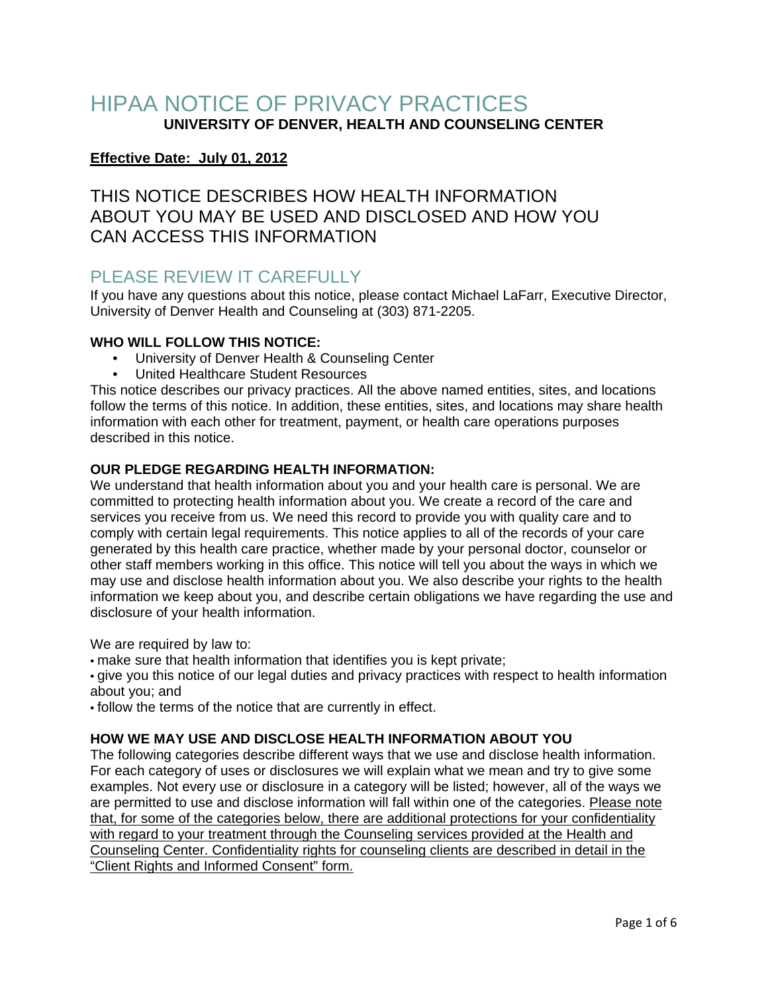# HIPAA NOTICE OF PRIVACY PRACTICES **UNIVERSITY OF DENVER, HEALTH AND COUNSELING CENTER**

# **Effective Date: July 01, 2012**

THIS NOTICE DESCRIBES HOW HEALTH INFORMATION ABOUT YOU MAY BE USED AND DISCLOSED AND HOW YOU CAN ACCESS THIS INFORMATION

# PLEASE REVIEW IT CAREFULLY

If you have any questions about this notice, please contact Michael LaFarr, Executive Director, University of Denver Health and Counseling at (303) 871-2205.

## **WHO WILL FOLLOW THIS NOTICE:**

- University of Denver Health & Counseling Center
- United Healthcare Student Resources

This notice describes our privacy practices. All the above named entities, sites, and locations follow the terms of this notice. In addition, these entities, sites, and locations may share health information with each other for treatment, payment, or health care operations purposes described in this notice.

### **OUR PLEDGE REGARDING HEALTH INFORMATION:**

We understand that health information about you and your health care is personal. We are committed to protecting health information about you. We create a record of the care and services you receive from us. We need this record to provide you with quality care and to comply with certain legal requirements. This notice applies to all of the records of your care generated by this health care practice, whether made by your personal doctor, counselor or other staff members working in this office. This notice will tell you about the ways in which we may use and disclose health information about you. We also describe your rights to the health information we keep about you, and describe certain obligations we have regarding the use and disclosure of your health information.

We are required by law to:

• make sure that health information that identifies you is kept private;

• give you this notice of our legal duties and privacy practices with respect to health information about you; and

• follow the terms of the notice that are currently in effect.

## **HOW WE MAY USE AND DISCLOSE HEALTH INFORMATION ABOUT YOU**

The following categories describe different ways that we use and disclose health information. For each category of uses or disclosures we will explain what we mean and try to give some examples. Not every use or disclosure in a category will be listed; however, all of the ways we are permitted to use and disclose information will fall within one of the categories. Please note that, for some of the categories below, there are additional protections for your confidentiality with regard to your treatment through the Counseling services provided at the Health and Counseling Center. Confidentiality rights for counseling clients are described in detail in the "Client Rights and Informed Consent" form.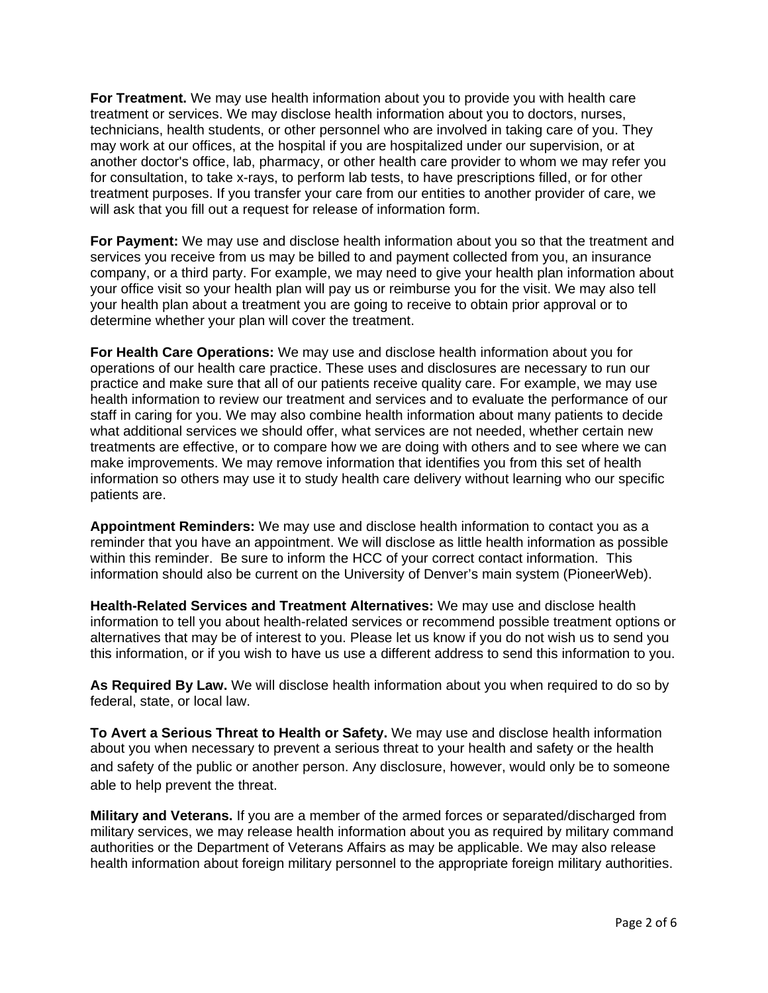**For Treatment.** We may use health information about you to provide you with health care treatment or services. We may disclose health information about you to doctors, nurses, technicians, health students, or other personnel who are involved in taking care of you. They may work at our offices, at the hospital if you are hospitalized under our supervision, or at another doctor's office, lab, pharmacy, or other health care provider to whom we may refer you for consultation, to take x-rays, to perform lab tests, to have prescriptions filled, or for other treatment purposes. If you transfer your care from our entities to another provider of care, we will ask that you fill out a request for release of information form.

**For Payment:** We may use and disclose health information about you so that the treatment and services you receive from us may be billed to and payment collected from you, an insurance company, or a third party. For example, we may need to give your health plan information about your office visit so your health plan will pay us or reimburse you for the visit. We may also tell your health plan about a treatment you are going to receive to obtain prior approval or to determine whether your plan will cover the treatment.

**For Health Care Operations:** We may use and disclose health information about you for operations of our health care practice. These uses and disclosures are necessary to run our practice and make sure that all of our patients receive quality care. For example, we may use health information to review our treatment and services and to evaluate the performance of our staff in caring for you. We may also combine health information about many patients to decide what additional services we should offer, what services are not needed, whether certain new treatments are effective, or to compare how we are doing with others and to see where we can make improvements. We may remove information that identifies you from this set of health information so others may use it to study health care delivery without learning who our specific patients are.

**Appointment Reminders:** We may use and disclose health information to contact you as a reminder that you have an appointment. We will disclose as little health information as possible within this reminder. Be sure to inform the HCC of your correct contact information. This information should also be current on the University of Denver's main system (PioneerWeb).

**Health-Related Services and Treatment Alternatives:** We may use and disclose health information to tell you about health-related services or recommend possible treatment options or alternatives that may be of interest to you. Please let us know if you do not wish us to send you this information, or if you wish to have us use a different address to send this information to you.

**As Required By Law.** We will disclose health information about you when required to do so by federal, state, or local law.

**To Avert a Serious Threat to Health or Safety.** We may use and disclose health information about you when necessary to prevent a serious threat to your health and safety or the health and safety of the public or another person. Any disclosure, however, would only be to someone able to help prevent the threat.

**Military and Veterans.** If you are a member of the armed forces or separated/discharged from military services, we may release health information about you as required by military command authorities or the Department of Veterans Affairs as may be applicable. We may also release health information about foreign military personnel to the appropriate foreign military authorities.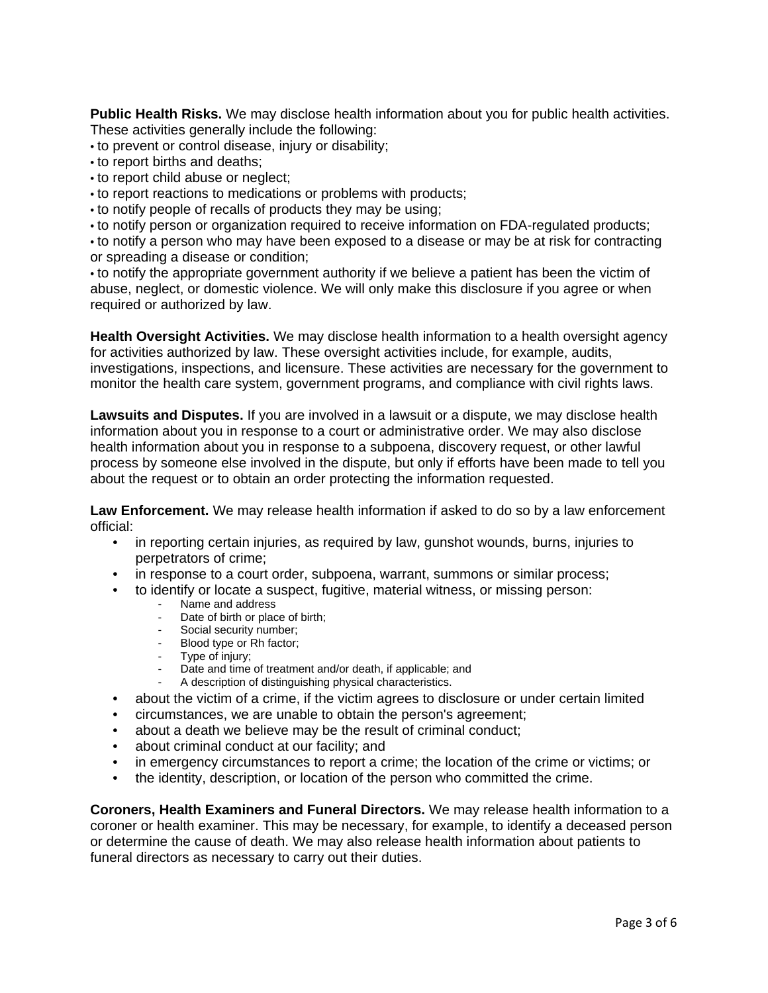**Public Health Risks.** We may disclose health information about you for public health activities. These activities generally include the following:

- to prevent or control disease, injury or disability;
- to report births and deaths;
- to report child abuse or neglect;
- to report reactions to medications or problems with products;
- to notify people of recalls of products they may be using;
- to notify person or organization required to receive information on FDA-regulated products;

• to notify a person who may have been exposed to a disease or may be at risk for contracting or spreading a disease or condition;

• to notify the appropriate government authority if we believe a patient has been the victim of abuse, neglect, or domestic violence. We will only make this disclosure if you agree or when required or authorized by law.

**Health Oversight Activities.** We may disclose health information to a health oversight agency for activities authorized by law. These oversight activities include, for example, audits, investigations, inspections, and licensure. These activities are necessary for the government to monitor the health care system, government programs, and compliance with civil rights laws.

**Lawsuits and Disputes.** If you are involved in a lawsuit or a dispute, we may disclose health information about you in response to a court or administrative order. We may also disclose health information about you in response to a subpoena, discovery request, or other lawful process by someone else involved in the dispute, but only if efforts have been made to tell you about the request or to obtain an order protecting the information requested.

**Law Enforcement.** We may release health information if asked to do so by a law enforcement official:

- in reporting certain injuries, as required by law, gunshot wounds, burns, injuries to perpetrators of crime;
- in response to a court order, subpoena, warrant, summons or similar process;
- to identify or locate a suspect, fugitive, material witness, or missing person: Name and address
	-
	- Date of birth or place of birth;
	- Social security number;
	- Blood type or Rh factor;
	- Type of injury:
	- Date and time of treatment and/or death, if applicable; and
	- A description of distinguishing physical characteristics.
- about the victim of a crime, if the victim agrees to disclosure or under certain limited
- circumstances, we are unable to obtain the person's agreement;
- about a death we believe may be the result of criminal conduct;
- about criminal conduct at our facility; and
- in emergency circumstances to report a crime; the location of the crime or victims; or
- the identity, description, or location of the person who committed the crime.

**Coroners, Health Examiners and Funeral Directors.** We may release health information to a coroner or health examiner. This may be necessary, for example, to identify a deceased person or determine the cause of death. We may also release health information about patients to funeral directors as necessary to carry out their duties.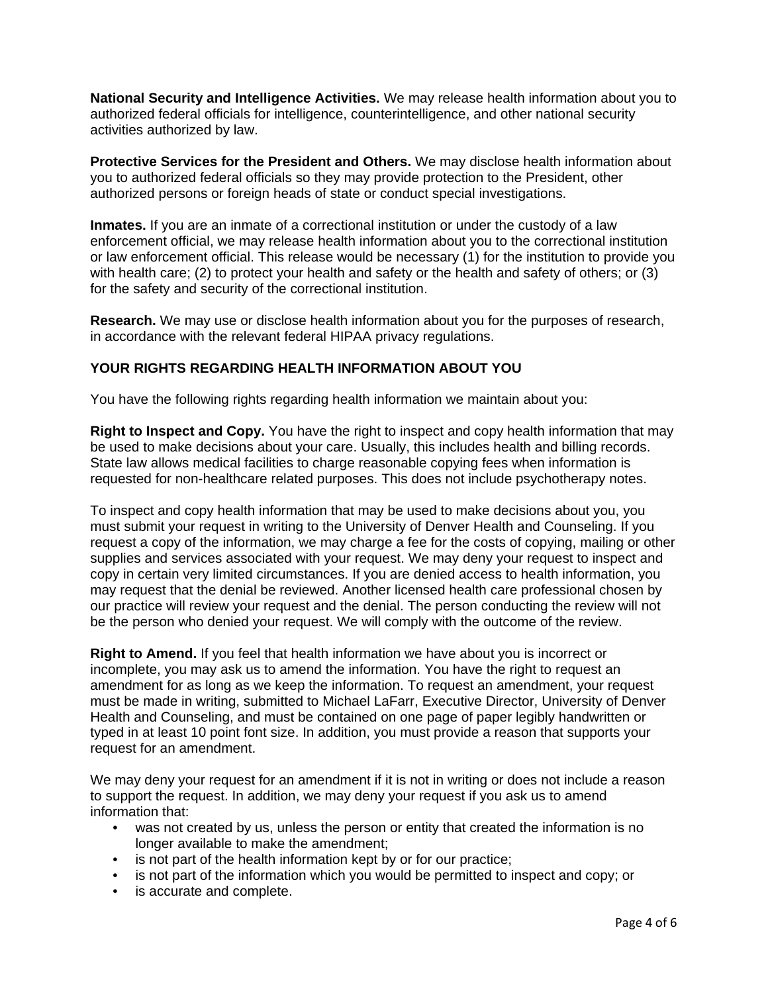**National Security and Intelligence Activities.** We may release health information about you to authorized federal officials for intelligence, counterintelligence, and other national security activities authorized by law.

**Protective Services for the President and Others.** We may disclose health information about you to authorized federal officials so they may provide protection to the President, other authorized persons or foreign heads of state or conduct special investigations.

**Inmates.** If you are an inmate of a correctional institution or under the custody of a law enforcement official, we may release health information about you to the correctional institution or law enforcement official. This release would be necessary (1) for the institution to provide you with health care; (2) to protect your health and safety or the health and safety of others; or (3) for the safety and security of the correctional institution.

**Research.** We may use or disclose health information about you for the purposes of research, in accordance with the relevant federal HIPAA privacy regulations.

## **YOUR RIGHTS REGARDING HEALTH INFORMATION ABOUT YOU**

You have the following rights regarding health information we maintain about you:

**Right to Inspect and Copy.** You have the right to inspect and copy health information that may be used to make decisions about your care. Usually, this includes health and billing records. State law allows medical facilities to charge reasonable copying fees when information is requested for non-healthcare related purposes. This does not include psychotherapy notes.

To inspect and copy health information that may be used to make decisions about you, you must submit your request in writing to the University of Denver Health and Counseling. If you request a copy of the information, we may charge a fee for the costs of copying, mailing or other supplies and services associated with your request. We may deny your request to inspect and copy in certain very limited circumstances. If you are denied access to health information, you may request that the denial be reviewed. Another licensed health care professional chosen by our practice will review your request and the denial. The person conducting the review will not be the person who denied your request. We will comply with the outcome of the review.

**Right to Amend.** If you feel that health information we have about you is incorrect or incomplete, you may ask us to amend the information. You have the right to request an amendment for as long as we keep the information. To request an amendment, your request must be made in writing, submitted to Michael LaFarr, Executive Director, University of Denver Health and Counseling, and must be contained on one page of paper legibly handwritten or typed in at least 10 point font size. In addition, you must provide a reason that supports your request for an amendment.

We may deny your request for an amendment if it is not in writing or does not include a reason to support the request. In addition, we may deny your request if you ask us to amend information that:

- was not created by us, unless the person or entity that created the information is no longer available to make the amendment;
- is not part of the health information kept by or for our practice;
- is not part of the information which you would be permitted to inspect and copy; or
- is accurate and complete.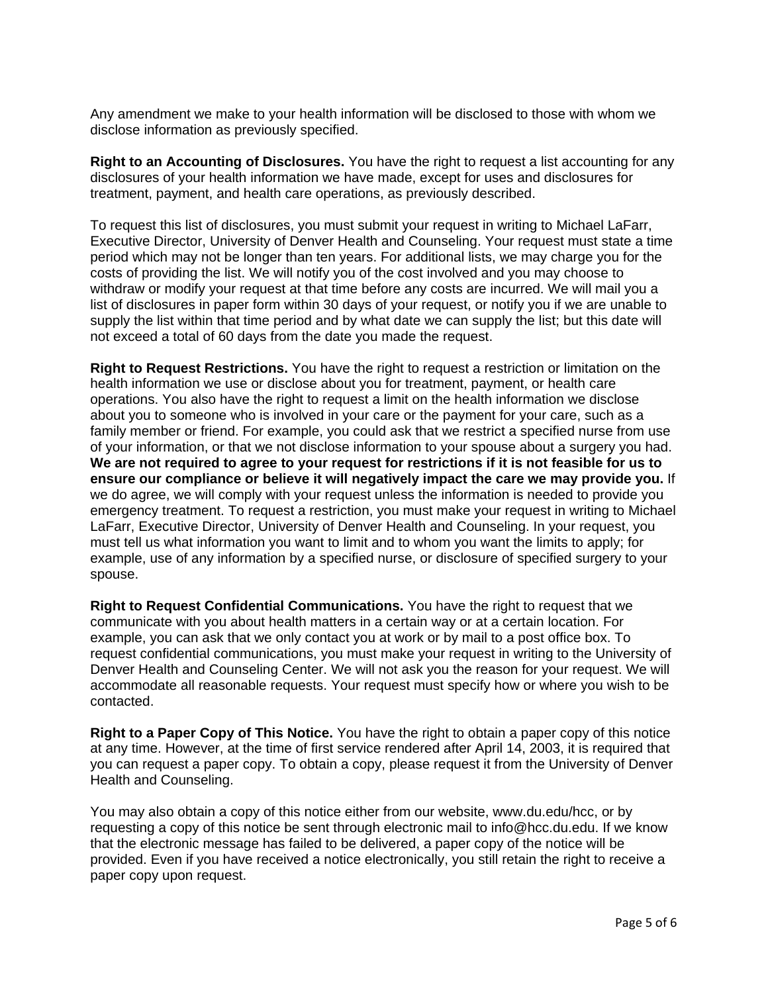Any amendment we make to your health information will be disclosed to those with whom we disclose information as previously specified.

**Right to an Accounting of Disclosures.** You have the right to request a list accounting for any disclosures of your health information we have made, except for uses and disclosures for treatment, payment, and health care operations, as previously described.

To request this list of disclosures, you must submit your request in writing to Michael LaFarr, Executive Director, University of Denver Health and Counseling. Your request must state a time period which may not be longer than ten years. For additional lists, we may charge you for the costs of providing the list. We will notify you of the cost involved and you may choose to withdraw or modify your request at that time before any costs are incurred. We will mail you a list of disclosures in paper form within 30 days of your request, or notify you if we are unable to supply the list within that time period and by what date we can supply the list; but this date will not exceed a total of 60 days from the date you made the request.

**Right to Request Restrictions.** You have the right to request a restriction or limitation on the health information we use or disclose about you for treatment, payment, or health care operations. You also have the right to request a limit on the health information we disclose about you to someone who is involved in your care or the payment for your care, such as a family member or friend. For example, you could ask that we restrict a specified nurse from use of your information, or that we not disclose information to your spouse about a surgery you had. **We are not required to agree to your request for restrictions if it is not feasible for us to ensure our compliance or believe it will negatively impact the care we may provide you.** If we do agree, we will comply with your request unless the information is needed to provide you emergency treatment. To request a restriction, you must make your request in writing to Michael LaFarr, Executive Director, University of Denver Health and Counseling. In your request, you must tell us what information you want to limit and to whom you want the limits to apply; for example, use of any information by a specified nurse, or disclosure of specified surgery to your spouse.

**Right to Request Confidential Communications.** You have the right to request that we communicate with you about health matters in a certain way or at a certain location. For example, you can ask that we only contact you at work or by mail to a post office box. To request confidential communications, you must make your request in writing to the University of Denver Health and Counseling Center. We will not ask you the reason for your request. We will accommodate all reasonable requests. Your request must specify how or where you wish to be contacted.

**Right to a Paper Copy of This Notice.** You have the right to obtain a paper copy of this notice at any time. However, at the time of first service rendered after April 14, 2003, it is required that you can request a paper copy. To obtain a copy, please request it from the University of Denver Health and Counseling.

You may also obtain a copy of this notice either from our website, www.du.edu/hcc, or by requesting a copy of this notice be sent through electronic mail to info@hcc.du.edu. If we know that the electronic message has failed to be delivered, a paper copy of the notice will be provided. Even if you have received a notice electronically, you still retain the right to receive a paper copy upon request.